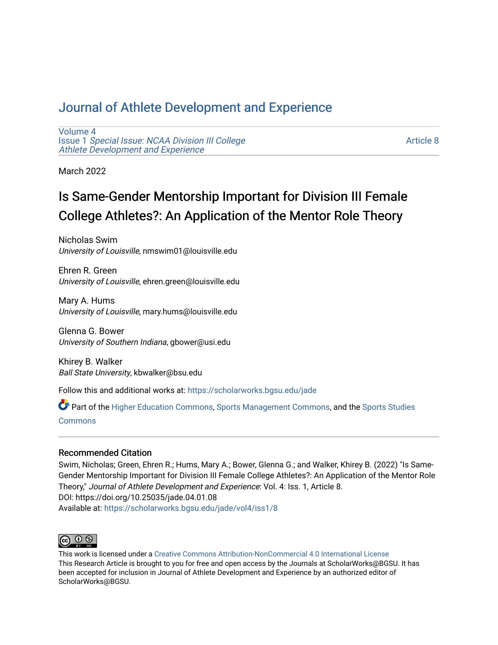# [Journal of Athlete Development and Experience](https://scholarworks.bgsu.edu/jade)

[Volume 4](https://scholarworks.bgsu.edu/jade/vol4) Issue 1 [Special Issue: NCAA Division III College](https://scholarworks.bgsu.edu/jade/vol4/iss1) [Athlete Development and Experience](https://scholarworks.bgsu.edu/jade/vol4/iss1) 

[Article 8](https://scholarworks.bgsu.edu/jade/vol4/iss1/8) 

March 2022

# Is Same-Gender Mentorship Important for Division III Female College Athletes?: An Application of the Mentor Role Theory

Nicholas Swim University of Louisville, nmswim01@louisville.edu

Ehren R. Green University of Louisville, ehren.green@louisville.edu

Mary A. Hums University of Louisville, mary.hums@louisville.edu

Glenna G. Bower University of Southern Indiana, gbower@usi.edu

Khirey B. Walker Ball State University, kbwalker@bsu.edu

Follow this and additional works at: [https://scholarworks.bgsu.edu/jade](https://scholarworks.bgsu.edu/jade?utm_source=scholarworks.bgsu.edu%2Fjade%2Fvol4%2Fiss1%2F8&utm_medium=PDF&utm_campaign=PDFCoverPages) 

Part of the [Higher Education Commons,](http://network.bepress.com/hgg/discipline/1245?utm_source=scholarworks.bgsu.edu%2Fjade%2Fvol4%2Fiss1%2F8&utm_medium=PDF&utm_campaign=PDFCoverPages) [Sports Management Commons,](http://network.bepress.com/hgg/discipline/1193?utm_source=scholarworks.bgsu.edu%2Fjade%2Fvol4%2Fiss1%2F8&utm_medium=PDF&utm_campaign=PDFCoverPages) and the [Sports Studies](http://network.bepress.com/hgg/discipline/1198?utm_source=scholarworks.bgsu.edu%2Fjade%2Fvol4%2Fiss1%2F8&utm_medium=PDF&utm_campaign=PDFCoverPages)  [Commons](http://network.bepress.com/hgg/discipline/1198?utm_source=scholarworks.bgsu.edu%2Fjade%2Fvol4%2Fiss1%2F8&utm_medium=PDF&utm_campaign=PDFCoverPages)

# Recommended Citation

Swim, Nicholas; Green, Ehren R.; Hums, Mary A.; Bower, Glenna G.; and Walker, Khirey B. (2022) "Is Same-Gender Mentorship Important for Division III Female College Athletes?: An Application of the Mentor Role Theory," Journal of Athlete Development and Experience: Vol. 4: Iss. 1, Article 8. DOI: https://doi.org/10.25035/jade.04.01.08 Available at: [https://scholarworks.bgsu.edu/jade/vol4/iss1/8](https://scholarworks.bgsu.edu/jade/vol4/iss1/8?utm_source=scholarworks.bgsu.edu%2Fjade%2Fvol4%2Fiss1%2F8&utm_medium=PDF&utm_campaign=PDFCoverPages) 



This work is licensed under a [Creative Commons Attribution-NonCommercial 4.0 International License](https://creativecommons.org/licenses/by-nc/4.0/) This Research Article is brought to you for free and open access by the Journals at ScholarWorks@BGSU. It has been accepted for inclusion in Journal of Athlete Development and Experience by an authorized editor of ScholarWorks@BGSU.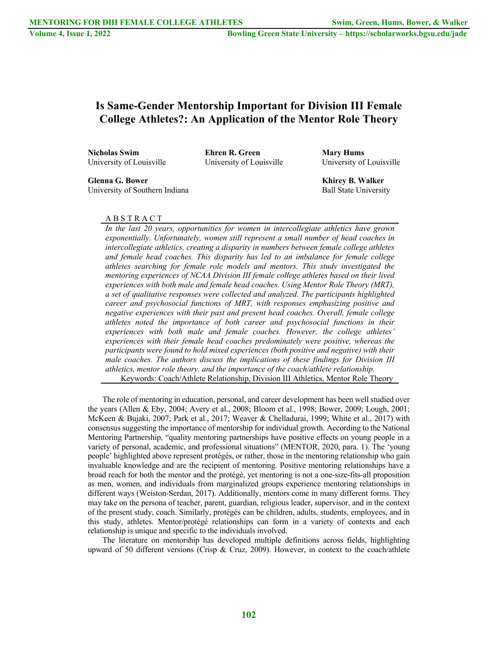# **Is Same-Gender Mentorship Important for Division III Female College Athletes?: An Application of the Mentor Role Theory**

**Nicholas Swim Ehren R. Green Mary Hums** University of Louisville University of Louisville University of Louisville

**Glenna G. Bower Khirey B. Walker**

University of Southern Indiana and a state Ball State University

## A B S T R A C T

*In the last 20 years, opportunities for women in intercollegiate athletics have grown exponentially. Unfortunately, women still represent a small number of head coaches in intercollegiate athletics, creating a disparity in numbers between female college athletes and female head coaches. This disparity has led to an imbalance for female college athletes searching for female role models and mentors. This study investigated the mentoring experiences of NCAA Division III female college athletes based on their lived experiences with both male and female head coaches. Using Mentor Role Theory (MRT), a set of qualitative responses were collected and analyzed. The participants highlighted career and psychosocial functions of MRT, with responses emphasizing positive and negative experiences with their past and present head coaches. Overall, female college athletes noted the importance of both career and psychosocial functions in their experiences with both male and female coaches. However, the college athletes' experiences with their female head coaches predominately were positive, whereas the participants were found to hold mixed experiences (both positive and negative) with their male coaches. The authors discuss the implications of these findings for Division III athletics, mentor role theory, and the importance of the coach/athlete relationship.* Keywords: Coach/Athlete Relationship, Division III Athletics, Mentor Role Theory

The role of mentoring in education, personal, and career development has been well studied over the years (Allen & Eby, 2004; Avery et al., 2008; Bloom et al., 1998; Bower, 2009; Lough, 2001; McKeen & Bujaki, 2007; Park et al., 2017; Weaver & Chelladurai, 1999; White et al., 2017) with consensus suggesting the importance of mentorship for individual growth. According to the National Mentoring Partnership, "quality mentoring partnerships have positive effects on young people in a variety of personal, academic, and professional situations" (MENTOR, 2020, para. 1). The 'young people' highlighted above represent protégés, or rather, those in the mentoring relationship who gain invaluable knowledge and are the recipient of mentoring. Positive mentoring relationships have a broad reach for both the mentor and the protégé, yet mentoring is not a one-size-fits-all proposition as men, women, and individuals from marginalized groups experience mentoring relationships in different ways (Weiston-Serdan, 2017). Additionally, mentors come in many different forms. They may take on the persona of teacher, parent, guardian, religious leader, supervisor, and in the context of the present study, coach. Similarly, protégés can be children, adults, students, employees, and in this study, athletes. Mentor/protégé relationships can form in a variety of contexts and each relationship is unique and specific to the individuals involved.

The literature on mentorship has developed multiple definitions across fields, highlighting upward of 50 different versions (Crisp & Cruz, 2009). However, in context to the coach/athlete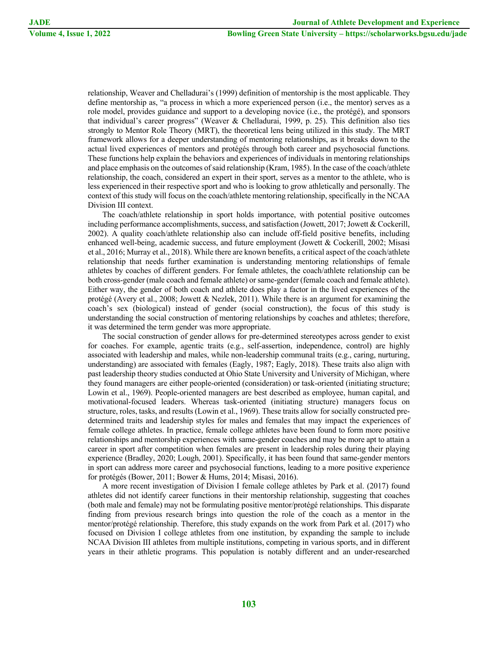relationship, Weaver and Chelladurai's (1999) definition of mentorship is the most applicable. They define mentorship as, "a process in which a more experienced person (i.e., the mentor) serves as a role model, provides guidance and support to a developing novice (i.e., the protégé), and sponsors that individual's career progress" (Weaver & Chelladurai, 1999, p. 25). This definition also ties strongly to Mentor Role Theory (MRT), the theoretical lens being utilized in this study. The MRT framework allows for a deeper understanding of mentoring relationships, as it breaks down to the actual lived experiences of mentors and protégés through both career and psychosocial functions. These functions help explain the behaviors and experiences of individuals in mentoring relationships and place emphasis on the outcomes of said relationship (Kram, 1985). In the case of the coach/athlete relationship, the coach, considered an expert in their sport, serves as a mentor to the athlete, who is less experienced in their respective sport and who is looking to grow athletically and personally. The context of this study will focus on the coach/athlete mentoring relationship, specifically in the NCAA Division III context.

The coach/athlete relationship in sport holds importance, with potential positive outcomes including performance accomplishments, success, and satisfaction (Jowett, 2017; Jowett & Cockerill, 2002). A quality coach/athlete relationship also can include off-field positive benefits, including enhanced well-being, academic success, and future employment (Jowett & Cockerill, 2002; Misasi et al., 2016; Murray et al., 2018). While there are known benefits, a critical aspect of the coach/athlete relationship that needs further examination is understanding mentoring relationships of female athletes by coaches of different genders. For female athletes, the coach/athlete relationship can be both cross-gender (male coach and female athlete) or same-gender (female coach and female athlete). Either way, the gender of both coach and athlete does play a factor in the lived experiences of the protégé (Avery et al., 2008; Jowett & Nezlek, 2011). While there is an argument for examining the coach's sex (biological) instead of gender (social construction), the focus of this study is understanding the social construction of mentoring relationships by coaches and athletes; therefore, it was determined the term gender was more appropriate.

The social construction of gender allows for pre-determined stereotypes across gender to exist for coaches. For example, agentic traits (e.g., self-assertion, independence, control) are highly associated with leadership and males, while non-leadership communal traits (e.g., caring, nurturing, understanding) are associated with females (Eagly, 1987; Eagly, 2018). These traits also align with past leadership theory studies conducted at Ohio State University and University of Michigan, where they found managers are either people-oriented (consideration) or task-oriented (initiating structure; Lowin et al., 1969). People-oriented managers are best described as employee, human capital, and motivational-focused leaders. Whereas task-oriented (initiating structure) managers focus on structure, roles, tasks, and results (Lowin et al., 1969). These traits allow for socially constructed predetermined traits and leadership styles for males and females that may impact the experiences of female college athletes. In practice, female college athletes have been found to form more positive relationships and mentorship experiences with same-gender coaches and may be more apt to attain a career in sport after competition when females are present in leadership roles during their playing experience (Bradley, 2020; Lough, 2001). Specifically, it has been found that same-gender mentors in sport can address more career and psychosocial functions, leading to a more positive experience for protégés (Bower, 2011; Bower & Hums, 2014; Misasi, 2016).

A more recent investigation of Division I female college athletes by Park et al. (2017) found athletes did not identify career functions in their mentorship relationship, suggesting that coaches (both male and female) may not be formulating positive mentor/protégé relationships. This disparate finding from previous research brings into question the role of the coach as a mentor in the mentor/protégé relationship. Therefore, this study expands on the work from Park et al. (2017) who focused on Division I college athletes from one institution, by expanding the sample to include NCAA Division III athletes from multiple institutions, competing in various sports, and in different years in their athletic programs. This population is notably different and an under-researched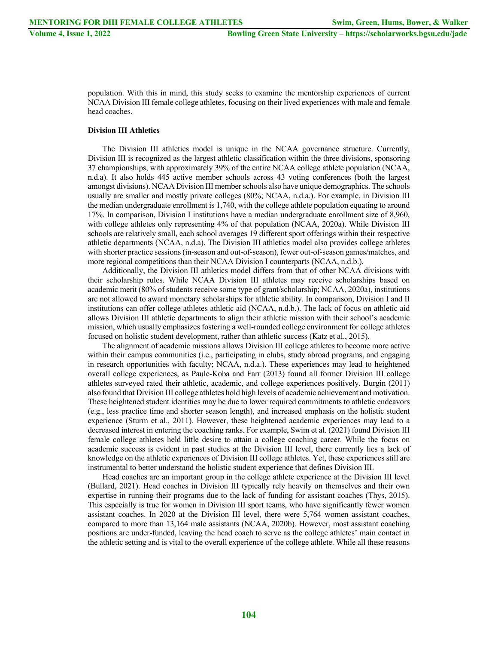population. With this in mind, this study seeks to examine the mentorship experiences of current NCAA Division III female college athletes, focusing on their lived experiences with male and female head coaches.

#### **Division III Athletics**

The Division III athletics model is unique in the NCAA governance structure. Currently, Division III is recognized as the largest athletic classification within the three divisions, sponsoring 37 championships, with approximately 39% of the entire NCAA college athlete population (NCAA, n.d.a). It also holds 445 active member schools across 43 voting conferences (both the largest amongst divisions). NCAA Division III member schools also have unique demographics. The schools usually are smaller and mostly private colleges (80%; NCAA, n.d.a.). For example, in Division III the median undergraduate enrollment is 1,740, with the college athlete population equating to around 17%. In comparison, Division I institutions have a median undergraduate enrollment size of 8,960, with college athletes only representing 4% of that population (NCAA, 2020a). While Division III schools are relatively small, each school averages 19 different sport offerings within their respective athletic departments (NCAA, n.d.a). The Division III athletics model also provides college athletes with shorter practice sessions (in-season and out-of-season), fewer out-of-season games/matches, and more regional competitions than their NCAA Division I counterparts (NCAA, n.d.b.).

Additionally, the Division III athletics model differs from that of other NCAA divisions with their scholarship rules. While NCAA Division III athletes may receive scholarships based on academic merit (80% of students receive some type of grant/scholarship; NCAA, 2020a), institutions are not allowed to award monetary scholarships for athletic ability. In comparison, Division I and II institutions can offer college athletes athletic aid (NCAA, n.d.b.). The lack of focus on athletic aid allows Division III athletic departments to align their athletic mission with their school's academic mission, which usually emphasizes fostering a well-rounded college environment for college athletes focused on holistic student development, rather than athletic success (Katz et al., 2015).

The alignment of academic missions allows Division III college athletes to become more active within their campus communities (i.e., participating in clubs, study abroad programs, and engaging in research opportunities with faculty; NCAA, n.d.a.). These experiences may lead to heightened overall college experiences, as Paule-Koba and Farr (2013) found all former Division III college athletes surveyed rated their athletic, academic, and college experiences positively. Burgin (2011) also found that Division III college athletes hold high levels of academic achievement and motivation. These heightened student identities may be due to lower required commitments to athletic endeavors (e.g., less practice time and shorter season length), and increased emphasis on the holistic student experience (Sturm et al., 2011). However, these heightened academic experiences may lead to a decreased interest in entering the coaching ranks. For example, Swim et al. (2021) found Division III female college athletes held little desire to attain a college coaching career. While the focus on academic success is evident in past studies at the Division III level, there currently lies a lack of knowledge on the athletic experiences of Division III college athletes. Yet, these experiences still are instrumental to better understand the holistic student experience that defines Division III.

Head coaches are an important group in the college athlete experience at the Division III level (Bullard, 2021). Head coaches in Division III typically rely heavily on themselves and their own expertise in running their programs due to the lack of funding for assistant coaches (Thys, 2015). This especially is true for women in Division III sport teams, who have significantly fewer women assistant coaches. In 2020 at the Division III level, there were 5,764 women assistant coaches, compared to more than 13,164 male assistants (NCAA, 2020b). However, most assistant coaching positions are under-funded, leaving the head coach to serve as the college athletes' main contact in the athletic setting and is vital to the overall experience of the college athlete. While all these reasons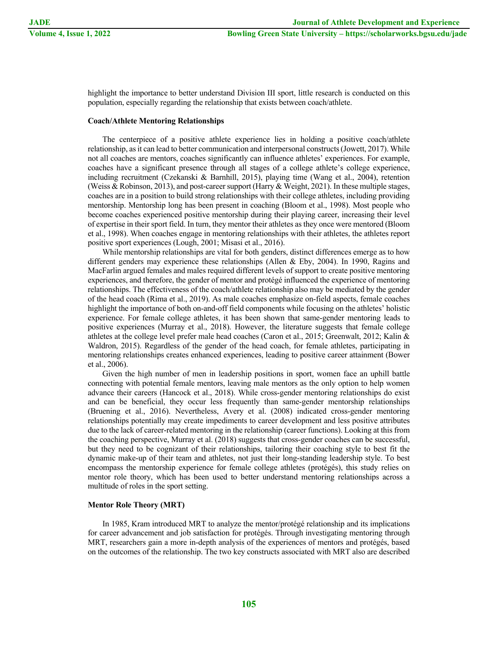highlight the importance to better understand Division III sport, little research is conducted on this population, especially regarding the relationship that exists between coach/athlete.

# **Coach/Athlete Mentoring Relationships**

The centerpiece of a positive athlete experience lies in holding a positive coach/athlete relationship, as it can lead to better communication and interpersonal constructs(Jowett, 2017). While not all coaches are mentors, coaches significantly can influence athletes' experiences. For example, coaches have a significant presence through all stages of a college athlete's college experience, including recruitment (Czekanski & Barnhill, 2015), playing time (Wang et al., 2004), retention (Weiss & Robinson, 2013), and post-career support (Harry & Weight, 2021). In these multiple stages, coaches are in a position to build strong relationships with their college athletes, including providing mentorship. Mentorship long has been present in coaching (Bloom et al., 1998). Most people who become coaches experienced positive mentorship during their playing career, increasing their level of expertise in their sport field. In turn, they mentor their athletes as they once were mentored (Bloom et al., 1998). When coaches engage in mentoring relationships with their athletes, the athletes report positive sport experiences (Lough, 2001; Misasi et al., 2016).

While mentorship relationships are vital for both genders, distinct differences emerge as to how different genders may experience these relationships (Allen & Eby, 2004). In 1990, Ragins and MacFarlin argued females and males required different levels of support to create positive mentoring experiences, and therefore, the gender of mentor and protégé influenced the experience of mentoring relationships. The effectiveness of the coach/athlete relationship also may be mediated by the gender of the head coach (Rima et al., 2019). As male coaches emphasize on-field aspects, female coaches highlight the importance of both on-and-off field components while focusing on the athletes' holistic experience. For female college athletes, it has been shown that same-gender mentoring leads to positive experiences (Murray et al., 2018). However, the literature suggests that female college athletes at the college level prefer male head coaches (Caron et al., 2015; Greenwalt, 2012; Kalin & Waldron, 2015). Regardless of the gender of the head coach, for female athletes, participating in mentoring relationships creates enhanced experiences, leading to positive career attainment (Bower et al., 2006).

Given the high number of men in leadership positions in sport, women face an uphill battle connecting with potential female mentors, leaving male mentors as the only option to help women advance their careers (Hancock et al., 2018). While cross-gender mentoring relationships do exist and can be beneficial, they occur less frequently than same-gender mentorship relationships (Bruening et al., 2016). Nevertheless, Avery et al. (2008) indicated cross-gender mentoring relationships potentially may create impediments to career development and less positive attributes due to the lack of career-related mentoring in the relationship (career functions). Looking at this from the coaching perspective, Murray et al. (2018) suggests that cross-gender coaches can be successful, but they need to be cognizant of their relationships, tailoring their coaching style to best fit the dynamic make-up of their team and athletes, not just their long-standing leadership style. To best encompass the mentorship experience for female college athletes (protégés), this study relies on mentor role theory, which has been used to better understand mentoring relationships across a multitude of roles in the sport setting.

# **Mentor Role Theory (MRT)**

In 1985, Kram introduced MRT to analyze the mentor/protégé relationship and its implications for career advancement and job satisfaction for protégés. Through investigating mentoring through MRT, researchers gain a more in-depth analysis of the experiences of mentors and protégés, based on the outcomes of the relationship. The two key constructs associated with MRT also are described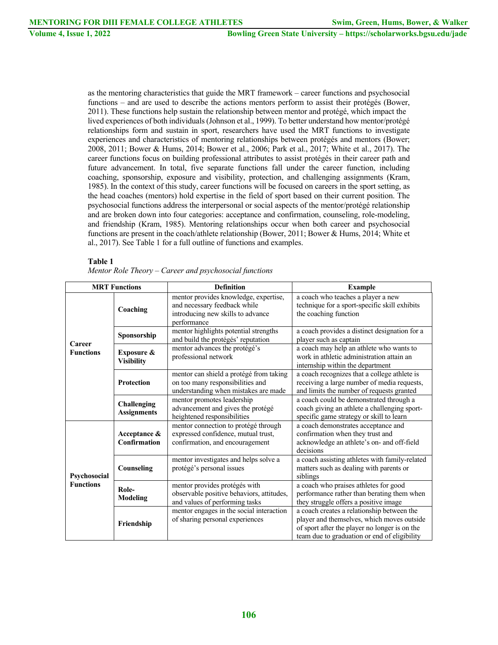as the mentoring characteristics that guide the MRT framework – career functions and psychosocial functions – and are used to describe the actions mentors perform to assist their protégés (Bower, 2011). These functions help sustain the relationship between mentor and protégé, which impact the lived experiences of both individuals (Johnson et al., 1999). To better understand how mentor/protégé relationships form and sustain in sport, researchers have used the MRT functions to investigate experiences and characteristics of mentoring relationships between protégés and mentors (Bower; 2008, 2011; Bower & Hums, 2014; Bower et al., 2006; Park et al., 2017; White et al., 2017). The career functions focus on building professional attributes to assist protégés in their career path and future advancement. In total, five separate functions fall under the career function, including coaching, sponsorship, exposure and visibility, protection, and challenging assignments (Kram, 1985). In the context of this study, career functions will be focused on careers in the sport setting, as the head coaches (mentors) hold expertise in the field of sport based on their current position. The psychosocial functions address the interpersonal or social aspects of the mentor/protégé relationship and are broken down into four categories: acceptance and confirmation, counseling, role-modeling, and friendship (Kram, 1985). Mentoring relationships occur when both career and psychosocial functions are present in the coach/athlete relationship (Bower, 2011; Bower & Hums, 2014; White et al., 2017). See Table 1 for a full outline of functions and examples.

# **Table 1**

|  |  | Mentor Role Theory – Career and psychosocial functions |
|--|--|--------------------------------------------------------|
|  |  |                                                        |

| <b>MRT</b> Functions             |                                          | <b>Definition</b>                                                                                                         | <b>Example</b>                                                                                                                                                                            |  |
|----------------------------------|------------------------------------------|---------------------------------------------------------------------------------------------------------------------------|-------------------------------------------------------------------------------------------------------------------------------------------------------------------------------------------|--|
| Career<br><b>Functions</b>       | Coaching                                 | mentor provides knowledge, expertise,<br>and necessary feedback while<br>introducing new skills to advance<br>performance | a coach who teaches a player a new<br>technique for a sport-specific skill exhibits<br>the coaching function                                                                              |  |
|                                  | Sponsorship                              | mentor highlights potential strengths<br>and build the protégés' reputation                                               | a coach provides a distinct designation for a<br>player such as captain                                                                                                                   |  |
|                                  | Exposure &<br><b>Visibility</b>          | mentor advances the protégé's<br>professional network                                                                     | a coach may help an athlete who wants to<br>work in athletic administration attain an<br>internship within the department                                                                 |  |
|                                  | <b>Protection</b>                        | mentor can shield a protégé from taking<br>on too many responsibilities and<br>understanding when mistakes are made       | a coach recognizes that a college athlete is<br>receiving a large number of media requests,<br>and limits the number of requests granted                                                  |  |
|                                  | <b>Challenging</b><br><b>Assignments</b> | mentor promotes leadership<br>advancement and gives the protégé<br>heightened responsibilities                            | a coach could be demonstrated through a<br>coach giving an athlete a challenging sport-<br>specific game strategy or skill to learn                                                       |  |
| Psychosocial<br><b>Functions</b> | Acceptance &<br><b>Confirmation</b>      | mentor connection to protégé through<br>expressed confidence, mutual trust,<br>confirmation, and encouragement            | a coach demonstrates acceptance and<br>confirmation when they trust and<br>acknowledge an athlete's on- and off-field<br>decisions                                                        |  |
|                                  | Counseling                               | mentor investigates and helps solve a<br>protégé's personal issues                                                        | a coach assisting athletes with family-related<br>matters such as dealing with parents or<br>siblings                                                                                     |  |
|                                  | Role-<br>Modeling                        | mentor provides protégés with<br>observable positive behaviors, attitudes,<br>and values of performing tasks              | a coach who praises athletes for good<br>performance rather than berating them when<br>they struggle offers a positive image                                                              |  |
|                                  | Friendship                               | mentor engages in the social interaction<br>of sharing personal experiences                                               | a coach creates a relationship between the<br>player and themselves, which moves outside<br>of sport after the player no longer is on the<br>team due to graduation or end of eligibility |  |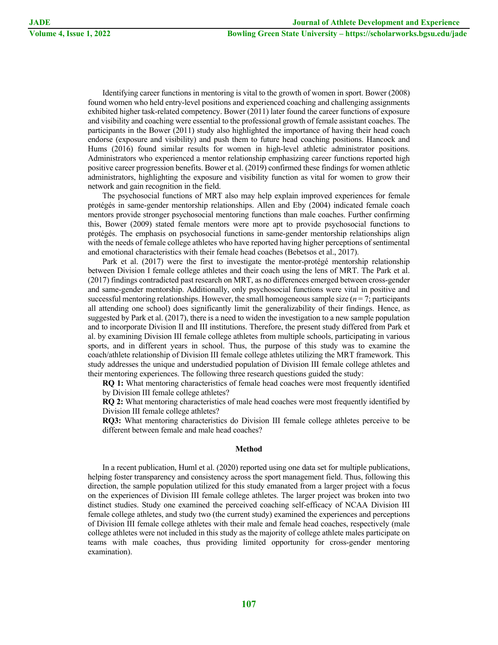Identifying career functions in mentoring is vital to the growth of women in sport. Bower (2008) found women who held entry-level positions and experienced coaching and challenging assignments exhibited higher task-related competency. Bower (2011) later found the career functions of exposure and visibility and coaching were essential to the professional growth of female assistant coaches. The participants in the Bower (2011) study also highlighted the importance of having their head coach endorse (exposure and visibility) and push them to future head coaching positions. Hancock and Hums (2016) found similar results for women in high-level athletic administrator positions. Administrators who experienced a mentor relationship emphasizing career functions reported high positive career progression benefits. Bower et al. (2019) confirmed these findings for women athletic administrators, highlighting the exposure and visibility function as vital for women to grow their network and gain recognition in the field.

The psychosocial functions of MRT also may help explain improved experiences for female protégés in same-gender mentorship relationships. Allen and Eby (2004) indicated female coach mentors provide stronger psychosocial mentoring functions than male coaches. Further confirming this, Bower (2009) stated female mentors were more apt to provide psychosocial functions to protégés. The emphasis on psychosocial functions in same-gender mentorship relationships align with the needs of female college athletes who have reported having higher perceptions of sentimental and emotional characteristics with their female head coaches (Bebetsos et al., 2017).

Park et al. (2017) were the first to investigate the mentor-protégé mentorship relationship between Division I female college athletes and their coach using the lens of MRT. The Park et al. (2017) findings contradicted past research on MRT, as no differences emerged between cross-gender and same-gender mentorship. Additionally, only psychosocial functions were vital in positive and successful mentoring relationships. However, the small homogeneous sample size  $(n = 7)$ ; participants all attending one school) does significantly limit the generalizability of their findings. Hence, as suggested by Park et al. (2017), there is a need to widen the investigation to a new sample population and to incorporate Division II and III institutions. Therefore, the present study differed from Park et al. by examining Division III female college athletes from multiple schools, participating in various sports, and in different years in school. Thus, the purpose of this study was to examine the coach/athlete relationship of Division III female college athletes utilizing the MRT framework. This study addresses the unique and understudied population of Division III female college athletes and their mentoring experiences. The following three research questions guided the study:

**RQ 1:** What mentoring characteristics of female head coaches were most frequently identified by Division III female college athletes?

**RQ 2:** What mentoring characteristics of male head coaches were most frequently identified by Division III female college athletes?

**RQ3:** What mentoring characteristics do Division III female college athletes perceive to be different between female and male head coaches?

#### **Method**

In a recent publication, Huml et al. (2020) reported using one data set for multiple publications, helping foster transparency and consistency across the sport management field. Thus, following this direction, the sample population utilized for this study emanated from a larger project with a focus on the experiences of Division III female college athletes. The larger project was broken into two distinct studies. Study one examined the perceived coaching self-efficacy of NCAA Division III female college athletes, and study two (the current study) examined the experiences and perceptions of Division III female college athletes with their male and female head coaches, respectively (male college athletes were not included in this study as the majority of college athlete males participate on teams with male coaches, thus providing limited opportunity for cross-gender mentoring examination).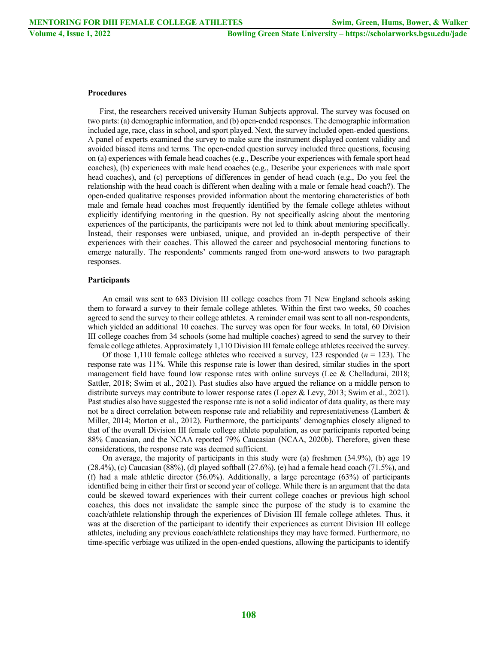# **Procedures**

First, the researchers received university Human Subjects approval. The survey was focused on two parts: (a) demographic information, and (b) open-ended responses. The demographic information included age, race, class in school, and sport played. Next, the survey included open-ended questions. A panel of experts examined the survey to make sure the instrument displayed content validity and avoided biased items and terms. The open-ended question survey included three questions, focusing on (a) experiences with female head coaches (e.g., Describe your experiences with female sport head coaches), (b) experiences with male head coaches (e.g., Describe your experiences with male sport head coaches), and (c) perceptions of differences in gender of head coach (e.g., Do you feel the relationship with the head coach is different when dealing with a male or female head coach?). The open-ended qualitative responses provided information about the mentoring characteristics of both male and female head coaches most frequently identified by the female college athletes without explicitly identifying mentoring in the question. By not specifically asking about the mentoring experiences of the participants, the participants were not led to think about mentoring specifically. Instead, their responses were unbiased, unique, and provided an in-depth perspective of their experiences with their coaches. This allowed the career and psychosocial mentoring functions to emerge naturally. The respondents' comments ranged from one-word answers to two paragraph responses.

# **Participants**

An email was sent to 683 Division III college coaches from 71 New England schools asking them to forward a survey to their female college athletes. Within the first two weeks, 50 coaches agreed to send the survey to their college athletes. A reminder email was sent to all non-respondents, which yielded an additional 10 coaches. The survey was open for four weeks. In total, 60 Division III college coaches from 34 schools (some had multiple coaches) agreed to send the survey to their female college athletes. Approximately 1,110 Division III female college athletes received the survey.

Of those 1,110 female college athletes who received a survey, 123 responded (*n* = 123). The response rate was 11%. While this response rate is lower than desired, similar studies in the sport management field have found low response rates with online surveys (Lee & Chelladurai, 2018; Sattler, 2018; Swim et al., 2021). Past studies also have argued the reliance on a middle person to distribute surveys may contribute to lower response rates (Lopez & Levy, 2013; Swim et al., 2021). Past studies also have suggested the response rate is not a solid indicator of data quality, as there may not be a direct correlation between response rate and reliability and representativeness (Lambert  $\&$ Miller, 2014; Morton et al., 2012). Furthermore, the participants' demographics closely aligned to that of the overall Division III female college athlete population, as our participants reported being 88% Caucasian, and the NCAA reported 79% Caucasian (NCAA, 2020b). Therefore, given these considerations, the response rate was deemed sufficient.

On average, the majority of participants in this study were (a) freshmen (34.9%), (b) age 19  $(28.4\%)$ , (c) Caucasian  $(88\%)$ , (d) played softball  $(27.6\%)$ , (e) had a female head coach  $(71.5\%)$ , and (f) had a male athletic director (56.0%). Additionally, a large percentage (63%) of participants identified being in either their first or second year of college. While there is an argument that the data could be skewed toward experiences with their current college coaches or previous high school coaches, this does not invalidate the sample since the purpose of the study is to examine the coach/athlete relationship through the experiences of Division III female college athletes. Thus, it was at the discretion of the participant to identify their experiences as current Division III college athletes, including any previous coach/athlete relationships they may have formed. Furthermore, no time-specific verbiage was utilized in the open-ended questions, allowing the participants to identify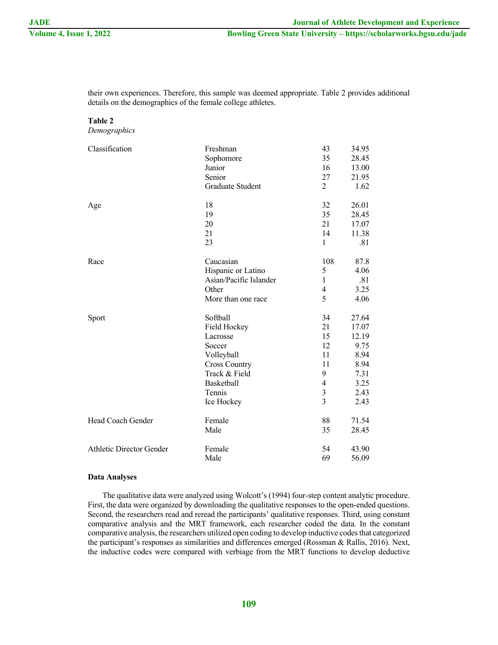their own experiences. Therefore, this sample was deemed appropriate. Table 2 provides additional details on the demographics of the female college athletes.

# **Table 2**

*Demographics*

| Classification                  | Freshman               | 43                       | 34.95 |
|---------------------------------|------------------------|--------------------------|-------|
|                                 | Sophomore              | 35                       | 28.45 |
|                                 | Junior                 | 16                       | 13.00 |
|                                 | Senior                 | 27                       | 21.95 |
|                                 | Graduate Student       | $\overline{2}$           | 1.62  |
| Age                             | 18                     | 32                       | 26.01 |
|                                 | 19                     | 35                       | 28.45 |
|                                 | 20                     | 21                       | 17.07 |
|                                 | 21                     | 14                       | 11.38 |
|                                 | 23                     | $\mathbf{1}$             | .81   |
| Race                            | Caucasian              | 108                      | 87.8  |
|                                 | Hispanic or Latino     | 5                        | 4.06  |
|                                 | Asian/Pacific Islander | $\mathbf{1}$             | .81   |
|                                 | Other                  | 4                        | 3.25  |
|                                 | More than one race     | 5                        | 4.06  |
| Sport                           | Softball               | 34                       | 27.64 |
|                                 | Field Hockey           | 21                       | 17.07 |
|                                 | Lacrosse               | 15                       | 12.19 |
|                                 | Soccer                 | 12                       | 9.75  |
|                                 | Volleyball             | 11                       | 8.94  |
|                                 | <b>Cross Country</b>   | 11                       | 8.94  |
|                                 | Track & Field          | 9                        | 7.31  |
|                                 | Basketball             | $\overline{\mathcal{A}}$ | 3.25  |
|                                 | Tennis                 | 3                        | 2.43  |
|                                 | Ice Hockey             | $\overline{3}$           | 2.43  |
| Head Coach Gender               | Female                 | 88                       | 71.54 |
|                                 | Male                   | 35                       | 28.45 |
| <b>Athletic Director Gender</b> | Female                 | 54                       | 43.90 |
|                                 | Male                   | 69                       | 56.09 |

## **Data Analyses**

The qualitative data were analyzed using Wolcott's (1994) four-step content analytic procedure. First, the data were organized by downloading the qualitative responses to the open-ended questions. Second, the researchers read and reread the participants' qualitative responses. Third, using constant comparative analysis and the MRT framework, each researcher coded the data. In the constant comparative analysis, the researchers utilized open coding to develop inductive codes that categorized the participant's responses as similarities and differences emerged (Rossman & Rallis, 2016). Next, the inductive codes were compared with verbiage from the MRT functions to develop deductive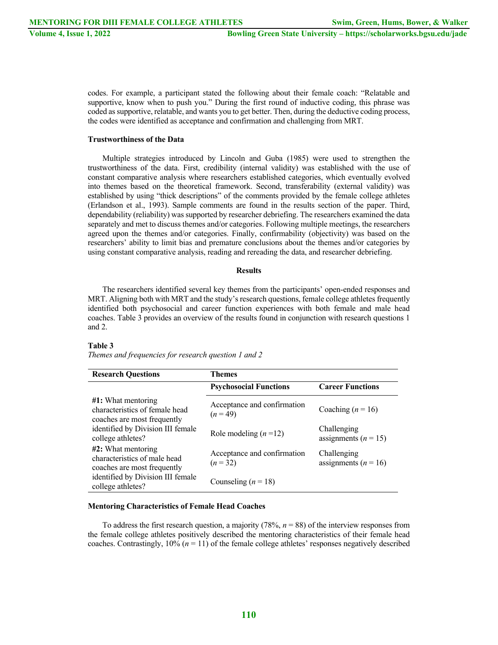codes. For example, a participant stated the following about their female coach: "Relatable and supportive, know when to push you." During the first round of inductive coding, this phrase was coded as supportive, relatable, and wants you to get better. Then, during the deductive coding process, the codes were identified as acceptance and confirmation and challenging from MRT.

# **Trustworthiness of the Data**

Multiple strategies introduced by Lincoln and Guba (1985) were used to strengthen the trustworthiness of the data. First, credibility (internal validity) was established with the use of constant comparative analysis where researchers established categories, which eventually evolved into themes based on the theoretical framework. Second, transferability (external validity) was established by using "thick descriptions" of the comments provided by the female college athletes (Erlandson et al., 1993). Sample comments are found in the results section of the paper. Third, dependability (reliability) was supported by researcher debriefing. The researchers examined the data separately and met to discuss themes and/or categories. Following multiple meetings, the researchers agreed upon the themes and/or categories. Finally, confirmability (objectivity) was based on the researchers' ability to limit bias and premature conclusions about the themes and/or categories by using constant comparative analysis, reading and rereading the data, and researcher debriefing.

#### **Results**

The researchers identified several key themes from the participants' open-ended responses and MRT. Aligning both with MRT and the study's research questions, female college athletes frequently identified both psychosocial and career function experiences with both female and male head coaches. Table 3 provides an overview of the results found in conjunction with research questions 1 and 2.

#### **Table 3**

*Themes and frequencies for research question 1 and 2*

| <b>Research Questions</b>                                                              | <b>Themes</b>                           |                                         |
|----------------------------------------------------------------------------------------|-----------------------------------------|-----------------------------------------|
|                                                                                        | <b>Psychosocial Functions</b>           | <b>Career Functions</b>                 |
| $#1$ : What mentoring<br>characteristics of female head<br>coaches are most frequently | Acceptance and confirmation<br>$(n=49)$ | Coaching $(n = 16)$                     |
| identified by Division III female<br>college athletes?                                 | Role modeling $(n=12)$                  | Challenging<br>assignments ( $n = 15$ ) |
| #2: What mentoring<br>characteristics of male head<br>coaches are most frequently      | Acceptance and confirmation<br>$(n=32)$ | Challenging<br>assignments ( $n = 16$ ) |
| identified by Division III female<br>college athletes?                                 | Counseling $(n = 18)$                   |                                         |

#### **Mentoring Characteristics of Female Head Coaches**

To address the first research question, a majority (78%, *n* = 88) of the interview responses from the female college athletes positively described the mentoring characteristics of their female head coaches. Contrastingly,  $10\%$  ( $n = 11$ ) of the female college athletes' responses negatively described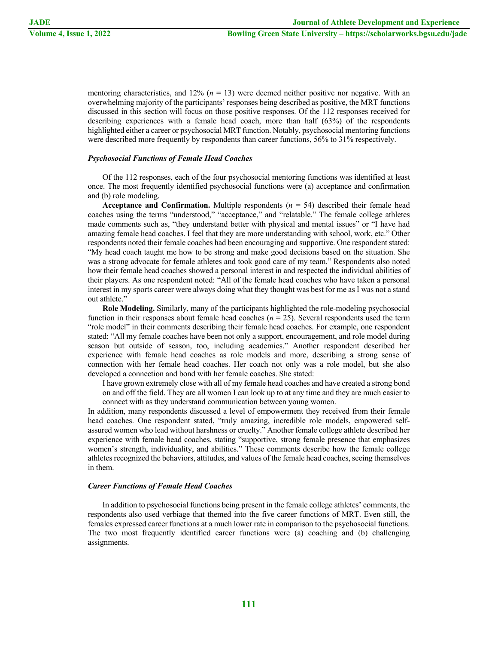mentoring characteristics, and  $12\%$  ( $n = 13$ ) were deemed neither positive nor negative. With an overwhelming majority of the participants' responses being described as positive, the MRT functions discussed in this section will focus on those positive responses. Of the 112 responses received for describing experiences with a female head coach, more than half (63%) of the respondents highlighted either a career or psychosocial MRT function. Notably, psychosocial mentoring functions were described more frequently by respondents than career functions, 56% to 31% respectively.

## *Psychosocial Functions of Female Head Coaches*

Of the 112 responses, each of the four psychosocial mentoring functions was identified at least once. The most frequently identified psychosocial functions were (a) acceptance and confirmation and (b) role modeling.

**Acceptance and Confirmation.** Multiple respondents  $(n = 54)$  described their female head coaches using the terms "understood," "acceptance," and "relatable." The female college athletes made comments such as, "they understand better with physical and mental issues" or "I have had amazing female head coaches. I feel that they are more understanding with school, work, etc." Other respondents noted their female coaches had been encouraging and supportive. One respondent stated: "My head coach taught me how to be strong and make good decisions based on the situation. She was a strong advocate for female athletes and took good care of my team." Respondents also noted how their female head coaches showed a personal interest in and respected the individual abilities of their players. As one respondent noted: "All of the female head coaches who have taken a personal interest in my sports career were always doing what they thought was best for me as I was not a stand out athlete."

**Role Modeling.** Similarly, many of the participants highlighted the role-modeling psychosocial function in their responses about female head coaches (*n* = 25). Several respondents used the term "role model" in their comments describing their female head coaches. For example, one respondent stated: "All my female coaches have been not only a support, encouragement, and role model during season but outside of season, too, including academics." Another respondent described her experience with female head coaches as role models and more, describing a strong sense of connection with her female head coaches. Her coach not only was a role model, but she also developed a connection and bond with her female coaches. She stated:

I have grown extremely close with all of my female head coaches and have created a strong bond on and off the field. They are all women I can look up to at any time and they are much easier to connect with as they understand communication between young women.

In addition, many respondents discussed a level of empowerment they received from their female head coaches. One respondent stated, "truly amazing, incredible role models, empowered selfassured women who lead without harshness or cruelty." Another female college athlete described her experience with female head coaches, stating "supportive, strong female presence that emphasizes women's strength, individuality, and abilities." These comments describe how the female college athletes recognized the behaviors, attitudes, and values of the female head coaches, seeing themselves in them.

#### *Career Functions of Female Head Coaches*

In addition to psychosocial functions being present in the female college athletes' comments, the respondents also used verbiage that themed into the five career functions of MRT. Even still, the females expressed career functions at a much lower rate in comparison to the psychosocial functions. The two most frequently identified career functions were (a) coaching and (b) challenging assignments.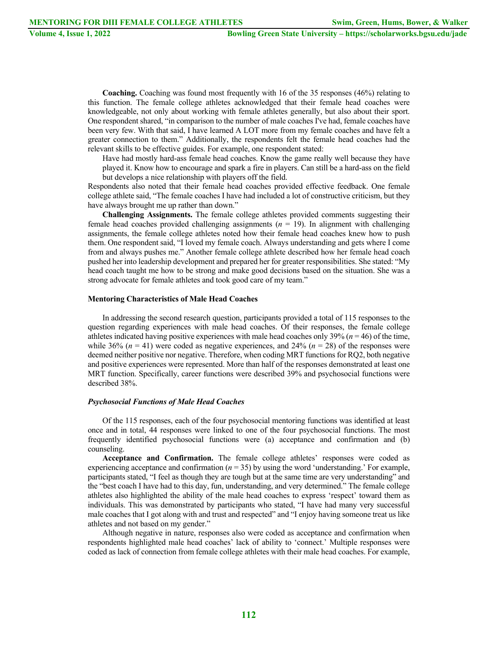**Coaching.** Coaching was found most frequently with 16 of the 35 responses (46%) relating to this function. The female college athletes acknowledged that their female head coaches were knowledgeable, not only about working with female athletes generally, but also about their sport. One respondent shared, "in comparison to the number of male coaches I've had, female coaches have been very few. With that said, I have learned A LOT more from my female coaches and have felt a greater connection to them." Additionally, the respondents felt the female head coaches had the relevant skills to be effective guides. For example, one respondent stated:

Have had mostly hard-ass female head coaches. Know the game really well because they have played it. Know how to encourage and spark a fire in players. Can still be a hard-ass on the field but develops a nice relationship with players off the field.

Respondents also noted that their female head coaches provided effective feedback. One female college athlete said, "The female coaches I have had included a lot of constructive criticism, but they have always brought me up rather than down."

**Challenging Assignments.** The female college athletes provided comments suggesting their female head coaches provided challenging assignments (*n* = 19). In alignment with challenging assignments, the female college athletes noted how their female head coaches knew how to push them. One respondent said, "I loved my female coach. Always understanding and gets where I come from and always pushes me." Another female college athlete described how her female head coach pushed her into leadership development and prepared her for greater responsibilities. She stated: "My head coach taught me how to be strong and make good decisions based on the situation. She was a strong advocate for female athletes and took good care of my team."

# **Mentoring Characteristics of Male Head Coaches**

In addressing the second research question, participants provided a total of 115 responses to the question regarding experiences with male head coaches. Of their responses, the female college athletes indicated having positive experiences with male head coaches only 39% (*n* = 46) of the time, while 36% ( $n = 41$ ) were coded as negative experiences, and 24% ( $n = 28$ ) of the responses were deemed neither positive nor negative. Therefore, when coding MRT functions for RQ2, both negative and positive experiences were represented. More than half of the responses demonstrated at least one MRT function. Specifically, career functions were described 39% and psychosocial functions were described 38%.

# *Psychosocial Functions of Male Head Coaches*

Of the 115 responses, each of the four psychosocial mentoring functions was identified at least once and in total, 44 responses were linked to one of the four psychosocial functions. The most frequently identified psychosocial functions were (a) acceptance and confirmation and (b) counseling.

**Acceptance and Confirmation.** The female college athletes' responses were coded as experiencing acceptance and confirmation  $(n = 35)$  by using the word 'understanding.' For example, participants stated, "I feel as though they are tough but at the same time are very understanding" and the "best coach I have had to this day, fun, understanding, and very determined." The female college athletes also highlighted the ability of the male head coaches to express 'respect' toward them as individuals. This was demonstrated by participants who stated, "I have had many very successful male coaches that I got along with and trust and respected" and "I enjoy having someone treat us like athletes and not based on my gender."

Although negative in nature, responses also were coded as acceptance and confirmation when respondents highlighted male head coaches' lack of ability to 'connect.' Multiple responses were coded as lack of connection from female college athletes with their male head coaches. For example,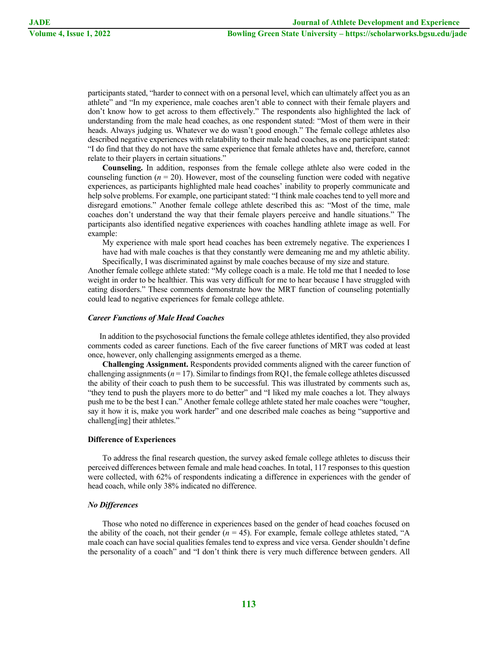participants stated, "harder to connect with on a personal level, which can ultimately affect you as an athlete" and "In my experience, male coaches aren't able to connect with their female players and don't know how to get across to them effectively." The respondents also highlighted the lack of understanding from the male head coaches, as one respondent stated: "Most of them were in their heads. Always judging us. Whatever we do wasn't good enough." The female college athletes also described negative experiences with relatability to their male head coaches, as one participant stated: "I do find that they do not have the same experience that female athletes have and, therefore, cannot relate to their players in certain situations."

**Counseling.** In addition, responses from the female college athlete also were coded in the counseling function  $(n = 20)$ . However, most of the counseling function were coded with negative experiences, as participants highlighted male head coaches' inability to properly communicate and help solve problems. For example, one participant stated: "I think male coaches tend to yell more and disregard emotions." Another female college athlete described this as: "Most of the time, male coaches don't understand the way that their female players perceive and handle situations." The participants also identified negative experiences with coaches handling athlete image as well. For example:

My experience with male sport head coaches has been extremely negative. The experiences I have had with male coaches is that they constantly were demeaning me and my athletic ability. Specifically, I was discriminated against by male coaches because of my size and stature.

Another female college athlete stated: "My college coach is a male. He told me that I needed to lose weight in order to be healthier. This was very difficult for me to hear because I have struggled with eating disorders." These comments demonstrate how the MRT function of counseling potentially could lead to negative experiences for female college athlete.

#### *Career Functions of Male Head Coaches*

In addition to the psychosocial functions the female college athletes identified, they also provided comments coded as career functions. Each of the five career functions of MRT was coded at least once, however, only challenging assignments emerged as a theme.

**Challenging Assignment.** Respondents provided comments aligned with the career function of challenging assignments ( $n = 17$ ). Similar to findings from RQ1, the female college athletes discussed the ability of their coach to push them to be successful. This was illustrated by comments such as, "they tend to push the players more to do better" and "I liked my male coaches a lot. They always push me to be the best I can." Another female college athlete stated her male coaches were "tougher, say it how it is, make you work harder" and one described male coaches as being "supportive and challeng[ing] their athletes."

#### **Difference of Experiences**

To address the final research question, the survey asked female college athletes to discuss their perceived differences between female and male head coaches. In total, 117 responses to this question were collected, with 62% of respondents indicating a difference in experiences with the gender of head coach, while only 38% indicated no difference.

# *No Differences*

Those who noted no difference in experiences based on the gender of head coaches focused on the ability of the coach, not their gender  $(n = 45)$ . For example, female college athletes stated, "A male coach can have social qualities females tend to express and vice versa. Gender shouldn't define the personality of a coach" and "I don't think there is very much difference between genders. All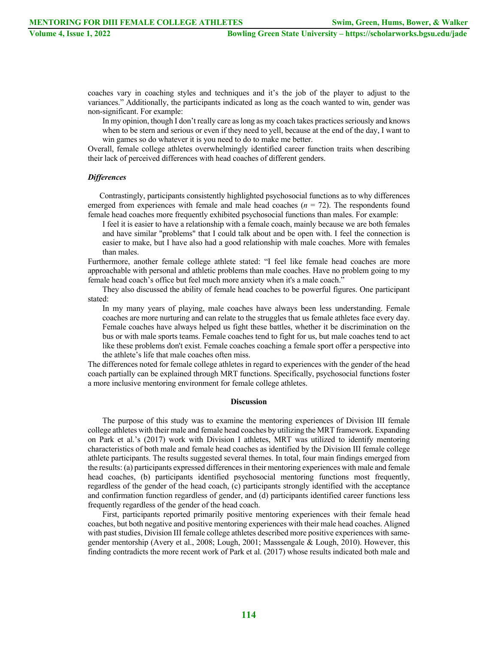coaches vary in coaching styles and techniques and it's the job of the player to adjust to the variances." Additionally, the participants indicated as long as the coach wanted to win, gender was non-significant. For example:

In my opinion, though I don't really care as long as my coach takes practices seriously and knows when to be stern and serious or even if they need to yell, because at the end of the day, I want to win games so do whatever it is you need to do to make me better.

Overall, female college athletes overwhelmingly identified career function traits when describing their lack of perceived differences with head coaches of different genders.

#### *Differences*

Contrastingly, participants consistently highlighted psychosocial functions as to why differences emerged from experiences with female and male head coaches  $(n = 72)$ . The respondents found female head coaches more frequently exhibited psychosocial functions than males. For example:

I feel it is easier to have a relationship with a female coach, mainly because we are both females and have similar "problems" that I could talk about and be open with. I feel the connection is easier to make, but I have also had a good relationship with male coaches. More with females than males.

Furthermore, another female college athlete stated: "I feel like female head coaches are more approachable with personal and athletic problems than male coaches. Have no problem going to my female head coach's office but feel much more anxiety when it's a male coach."

They also discussed the ability of female head coaches to be powerful figures. One participant stated:

In my many years of playing, male coaches have always been less understanding. Female coaches are more nurturing and can relate to the struggles that us female athletes face every day. Female coaches have always helped us fight these battles, whether it be discrimination on the bus or with male sports teams. Female coaches tend to fight for us, but male coaches tend to act like these problems don't exist. Female coaches coaching a female sport offer a perspective into the athlete's life that male coaches often miss.

The differences noted for female college athletes in regard to experiences with the gender of the head coach partially can be explained through MRT functions. Specifically, psychosocial functions foster a more inclusive mentoring environment for female college athletes.

# **Discussion**

The purpose of this study was to examine the mentoring experiences of Division III female college athletes with their male and female head coaches by utilizing the MRT framework. Expanding on Park et al.'s (2017) work with Division I athletes, MRT was utilized to identify mentoring characteristics of both male and female head coaches as identified by the Division III female college athlete participants. The results suggested several themes. In total, four main findings emerged from the results: (a) participants expressed differences in their mentoring experiences with male and female head coaches, (b) participants identified psychosocial mentoring functions most frequently, regardless of the gender of the head coach, (c) participants strongly identified with the acceptance and confirmation function regardless of gender, and (d) participants identified career functions less frequently regardless of the gender of the head coach.

First, participants reported primarily positive mentoring experiences with their female head coaches, but both negative and positive mentoring experiences with their male head coaches. Aligned with past studies, Division III female college athletes described more positive experiences with samegender mentorship (Avery et al., 2008; Lough, 2001; Masssengale & Lough, 2010). However, this finding contradicts the more recent work of Park et al. (2017) whose results indicated both male and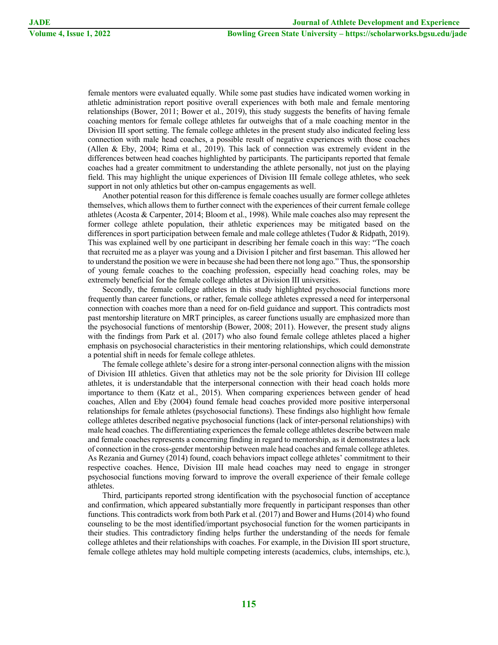female mentors were evaluated equally. While some past studies have indicated women working in athletic administration report positive overall experiences with both male and female mentoring relationships (Bower, 2011; Bower et al., 2019), this study suggests the benefits of having female coaching mentors for female college athletes far outweighs that of a male coaching mentor in the Division III sport setting. The female college athletes in the present study also indicated feeling less connection with male head coaches, a possible result of negative experiences with those coaches (Allen & Eby, 2004; Rima et al., 2019). This lack of connection was extremely evident in the differences between head coaches highlighted by participants. The participants reported that female coaches had a greater commitment to understanding the athlete personally, not just on the playing field. This may highlight the unique experiences of Division III female college athletes, who seek support in not only athletics but other on-campus engagements as well.

Another potential reason for this difference is female coaches usually are former college athletes themselves, which allows them to further connect with the experiences of their current female college athletes (Acosta & Carpenter, 2014; Bloom et al., 1998). While male coaches also may represent the former college athlete population, their athletic experiences may be mitigated based on the differences in sport participation between female and male college athletes (Tudor & Ridpath, 2019). This was explained well by one participant in describing her female coach in this way: "The coach that recruited me as a player was young and a Division I pitcher and first baseman. This allowed her to understand the position we were in because she had been there not long ago." Thus, the sponsorship of young female coaches to the coaching profession, especially head coaching roles, may be extremely beneficial for the female college athletes at Division III universities.

Secondly, the female college athletes in this study highlighted psychosocial functions more frequently than career functions, or rather, female college athletes expressed a need for interpersonal connection with coaches more than a need for on-field guidance and support. This contradicts most past mentorship literature on MRT principles, as career functions usually are emphasized more than the psychosocial functions of mentorship (Bower, 2008; 2011). However, the present study aligns with the findings from Park et al. (2017) who also found female college athletes placed a higher emphasis on psychosocial characteristics in their mentoring relationships, which could demonstrate a potential shift in needs for female college athletes.

The female college athlete's desire for a strong inter-personal connection aligns with the mission of Division III athletics. Given that athletics may not be the sole priority for Division III college athletes, it is understandable that the interpersonal connection with their head coach holds more importance to them (Katz et al., 2015). When comparing experiences between gender of head coaches, Allen and Eby (2004) found female head coaches provided more positive interpersonal relationships for female athletes (psychosocial functions). These findings also highlight how female college athletes described negative psychosocial functions (lack of inter-personal relationships) with male head coaches. The differentiating experiences the female college athletes describe between male and female coaches represents a concerning finding in regard to mentorship, as it demonstrates a lack of connection in the cross-gender mentorship between male head coaches and female college athletes. As Rezania and Gurney (2014) found, coach behaviors impact college athletes' commitment to their respective coaches. Hence, Division III male head coaches may need to engage in stronger psychosocial functions moving forward to improve the overall experience of their female college athletes.

Third, participants reported strong identification with the psychosocial function of acceptance and confirmation, which appeared substantially more frequently in participant responses than other functions. This contradicts work from both Park et al. (2017) and Bower and Hums (2014) who found counseling to be the most identified/important psychosocial function for the women participants in their studies. This contradictory finding helps further the understanding of the needs for female college athletes and their relationships with coaches. For example, in the Division III sport structure, female college athletes may hold multiple competing interests (academics, clubs, internships, etc.),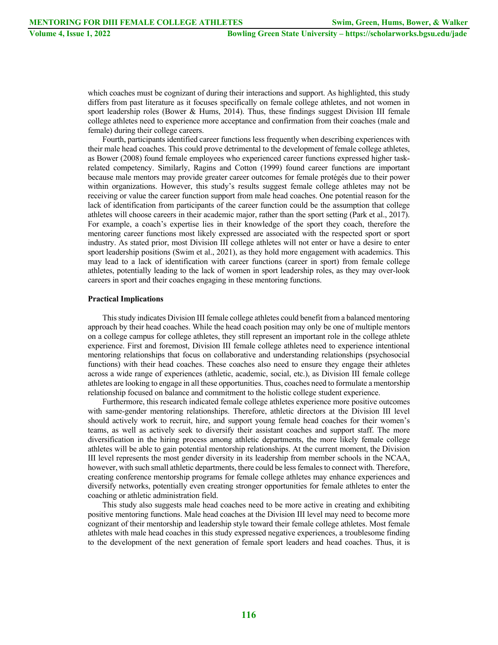which coaches must be cognizant of during their interactions and support. As highlighted, this study differs from past literature as it focuses specifically on female college athletes, and not women in sport leadership roles (Bower & Hums, 2014). Thus, these findings suggest Division III female college athletes need to experience more acceptance and confirmation from their coaches (male and female) during their college careers.

Fourth, participants identified career functions less frequently when describing experiences with their male head coaches. This could prove detrimental to the development of female college athletes, as Bower (2008) found female employees who experienced career functions expressed higher taskrelated competency. Similarly, Ragins and Cotton (1999) found career functions are important because male mentors may provide greater career outcomes for female protégés due to their power within organizations. However, this study's results suggest female college athletes may not be receiving or value the career function support from male head coaches. One potential reason for the lack of identification from participants of the career function could be the assumption that college athletes will choose careers in their academic major, rather than the sport setting (Park et al., 2017). For example, a coach's expertise lies in their knowledge of the sport they coach, therefore the mentoring career functions most likely expressed are associated with the respected sport or sport industry. As stated prior, most Division III college athletes will not enter or have a desire to enter sport leadership positions (Swim et al., 2021), as they hold more engagement with academics. This may lead to a lack of identification with career functions (career in sport) from female college athletes, potentially leading to the lack of women in sport leadership roles, as they may over-look careers in sport and their coaches engaging in these mentoring functions.

# **Practical Implications**

This study indicates Division III female college athletes could benefit from a balanced mentoring approach by their head coaches. While the head coach position may only be one of multiple mentors on a college campus for college athletes, they still represent an important role in the college athlete experience. First and foremost, Division III female college athletes need to experience intentional mentoring relationships that focus on collaborative and understanding relationships (psychosocial functions) with their head coaches. These coaches also need to ensure they engage their athletes across a wide range of experiences (athletic, academic, social, etc.), as Division III female college athletes are looking to engage in all these opportunities. Thus, coaches need to formulate a mentorship relationship focused on balance and commitment to the holistic college student experience.

Furthermore, this research indicated female college athletes experience more positive outcomes with same-gender mentoring relationships. Therefore, athletic directors at the Division III level should actively work to recruit, hire, and support young female head coaches for their women's teams, as well as actively seek to diversify their assistant coaches and support staff. The more diversification in the hiring process among athletic departments, the more likely female college athletes will be able to gain potential mentorship relationships. At the current moment, the Division III level represents the most gender diversity in its leadership from member schools in the NCAA, however, with such small athletic departments, there could be less females to connect with. Therefore, creating conference mentorship programs for female college athletes may enhance experiences and diversify networks, potentially even creating stronger opportunities for female athletes to enter the coaching or athletic administration field.

This study also suggests male head coaches need to be more active in creating and exhibiting positive mentoring functions. Male head coaches at the Division III level may need to become more cognizant of their mentorship and leadership style toward their female college athletes. Most female athletes with male head coaches in this study expressed negative experiences, a troublesome finding to the development of the next generation of female sport leaders and head coaches. Thus, it is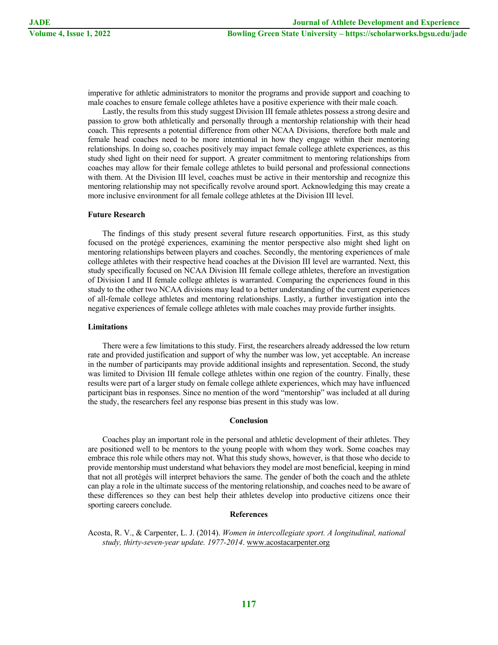imperative for athletic administrators to monitor the programs and provide support and coaching to male coaches to ensure female college athletes have a positive experience with their male coach.

Lastly, the results from this study suggest Division III female athletes possess a strong desire and passion to grow both athletically and personally through a mentorship relationship with their head coach. This represents a potential difference from other NCAA Divisions, therefore both male and female head coaches need to be more intentional in how they engage within their mentoring relationships. In doing so, coaches positively may impact female college athlete experiences, as this study shed light on their need for support. A greater commitment to mentoring relationships from coaches may allow for their female college athletes to build personal and professional connections with them. At the Division III level, coaches must be active in their mentorship and recognize this mentoring relationship may not specifically revolve around sport. Acknowledging this may create a more inclusive environment for all female college athletes at the Division III level.

# **Future Research**

The findings of this study present several future research opportunities. First, as this study focused on the protégé experiences, examining the mentor perspective also might shed light on mentoring relationships between players and coaches. Secondly, the mentoring experiences of male college athletes with their respective head coaches at the Division III level are warranted. Next, this study specifically focused on NCAA Division III female college athletes, therefore an investigation of Division I and II female college athletes is warranted. Comparing the experiences found in this study to the other two NCAA divisions may lead to a better understanding of the current experiences of all-female college athletes and mentoring relationships. Lastly, a further investigation into the negative experiences of female college athletes with male coaches may provide further insights.

# **Limitations**

There were a few limitations to this study. First, the researchers already addressed the low return rate and provided justification and support of why the number was low, yet acceptable. An increase in the number of participants may provide additional insights and representation. Second, the study was limited to Division III female college athletes within one region of the country. Finally, these results were part of a larger study on female college athlete experiences, which may have influenced participant bias in responses. Since no mention of the word "mentorship" was included at all during the study, the researchers feel any response bias present in this study was low.

#### **Conclusion**

Coaches play an important role in the personal and athletic development of their athletes. They are positioned well to be mentors to the young people with whom they work. Some coaches may embrace this role while others may not. What this study shows, however, is that those who decide to provide mentorship must understand what behaviors they model are most beneficial, keeping in mind that not all protégés will interpret behaviors the same. The gender of both the coach and the athlete can play a role in the ultimate success of the mentoring relationship, and coaches need to be aware of these differences so they can best help their athletes develop into productive citizens once their sporting careers conclude.

# **References**

Acosta, R. V., & Carpenter, L. J. (2014). *Women in intercollegiate sport. A longitudinal, national study, thirty-seven-year update. 1977-2014*. www.acostacarpenter.org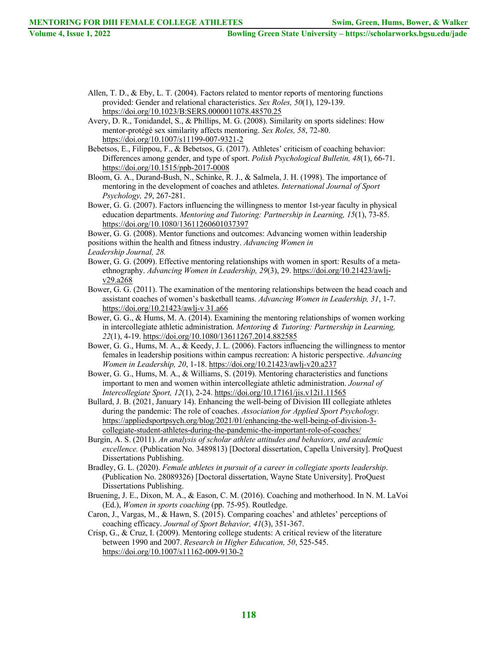Allen, T. D., & Eby, L. T. (2004). Factors related to mentor reports of mentoring functions provided: Gender and relational characteristics. *Sex Roles, 50*(1), 129-139. https://doi.org/10.1023/B:SERS.0000011078.48570.25

Avery, D. R., Tonidandel, S., & Phillips, M. G. (2008). Similarity on sports sidelines: How mentor-protégé sex similarity affects mentoring. *Sex Roles, 58*, 72-80. https://doi.org/10.1007/s11199-007-9321-2

Bebetsos, E., Filippou, F., & Bebetsos, G. (2017). Athletes' criticism of coaching behavior: Differences among gender, and type of sport. *Polish Psychological Bulletin, 48*(1), 66-71. https://doi.org/10.1515/ppb-2017-0008

Bloom, G. A., Durand-Bush, N., Schinke, R. J., & Salmela, J. H. (1998). The importance of mentoring in the development of coaches and athletes. *International Journal of Sport Psychology, 29*, 267-281.

Bower, G. G. (2007). Factors influencing the willingness to mentor 1st-year faculty in physical education departments. *Mentoring and Tutoring: Partnership in Learning, 15*(1), 73-85. https://doi.org/10.1080/13611260601037397

Bower, G. G. (2008). Mentor functions and outcomes: Advancing women within leadership positions within the health and fitness industry. *Advancing Women in Leadership Journal, 28.*

Bower, G. G. (2009). Effective mentoring relationships with women in sport: Results of a metaethnography. *Advancing Women in Leadership, 29*(3), 29. https://doi.org/10.21423/awljv29.a268

Bower, G. G. (2011). The examination of the mentoring relationships between the head coach and assistant coaches of women's basketball teams. *Advancing Women in Leadership, 31*, 1-7. https://doi.org/10.21423/awlj-v 31.a66

Bower, G. G., & Hums, M. A. (2014). Examining the mentoring relationships of women working in intercollegiate athletic administration. *Mentoring & Tutoring: Partnership in Learning, 22*(1), 4-19. https://doi.org/10.1080/13611267.2014.882585

Bower, G. G., Hums, M. A., & Keedy, J. L. (2006). Factors influencing the willingness to mentor females in leadership positions within campus recreation: A historic perspective. *Advancing Women in Leadership, 20*, 1-18. https://doi.org/10.21423/awlj-v20.a237

Bower, G. G., Hums, M. A., & Williams, S. (2019). Mentoring characteristics and functions important to men and women within intercollegiate athletic administration. *Journal of Intercollegiate Sport, 12*(1), 2-24. https://doi.org/10.17161/jis.v12i1.11565

Bullard, J. B. (2021, January 14). Enhancing the well-being of Division III collegiate athletes during the pandemic: The role of coaches. *Association for Applied Sport Psychology.*  https://appliedsportpsych.org/blog/2021/01/enhancing-the-well-being-of-division-3 collegiate-student-athletes-during-the-pandemic-the-important-role-of-coaches/

Burgin, A. S. (2011). *An analysis of scholar athlete attitudes and behaviors, and academic excellence.* (Publication No. 3489813) [Doctoral dissertation, Capella University]. ProQuest Dissertations Publishing.

Bradley, G. L. (2020). *Female athletes in pursuit of a career in collegiate sports leadership*. (Publication No. 28089326) [Doctoral dissertation, Wayne State University]. ProQuest Dissertations Publishing.

Bruening, J. E., Dixon, M. A., & Eason, C. M. (2016). Coaching and motherhood. In N. M. LaVoi (Ed.), *Women in sports coaching* (pp. 75-95). Routledge.

Caron, J., Vargas, M., & Hawn, S. (2015). Comparing coaches' and athletes' perceptions of coaching efficacy. *Journal of Sport Behavior, 41*(3), 351-367.

Crisp, G., & Cruz, I. (2009). Mentoring college students: A critical review of the literature between 1990 and 2007. *Research in Higher Education, 50*, 525-545. https://doi.org/10.1007/s11162-009-9130-2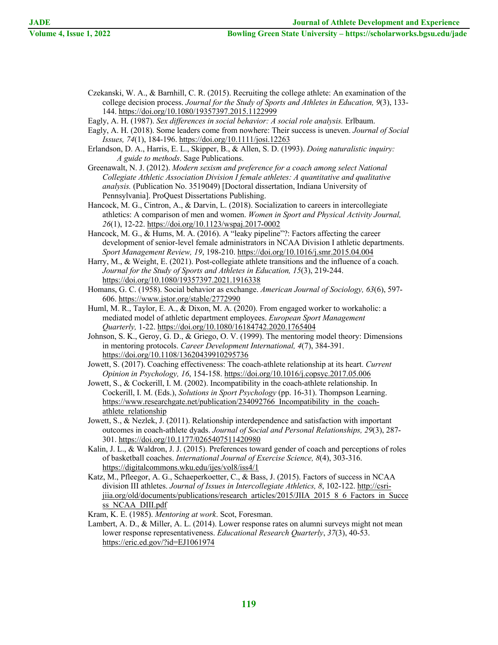- Czekanski, W. A., & Barnhill, C. R. (2015). Recruiting the college athlete: An examination of the college decision process. *Journal for the Study of Sports and Athletes in Education, 9*(3), 133- 144. https://doi.org/10.1080/19357397.2015.1122999
- Eagly, A. H. (1987). *Sex differences in social behavior: A social role analysis.* Erlbaum.
- Eagly, A. H. (2018). Some leaders come from nowhere: Their success is uneven. *Journal of Social Issues, 74*(1), 184-196. https://doi.org/10.1111/josi.12263
- Erlandson, D. A., Harris, E. L., Skipper, B., & Allen, S. D. (1993). *Doing naturalistic inquiry: A guide to methods*. Sage Publications.
- Greenawalt, N. J. (2012). *Modern sexism and preference for a coach among select National Collegiate Athletic Association Division I female athletes: A quantitative and qualitative analysis.* (Publication No. 3519049) [Doctoral dissertation, Indiana University of Pennsylvania]. ProQuest Dissertations Publishing.
- Hancock, M. G., Cintron, A., & Darvin, L. (2018). Socialization to careers in intercollegiate athletics: A comparison of men and women. *Women in Sport and Physical Activity Journal, 26*(1), 12-22. https://doi.org/10.1123/wspaj.2017-0002
- Hancock, M. G., & Hums, M. A. (2016). A "leaky pipeline"?: Factors affecting the career development of senior-level female administrators in NCAA Division I athletic departments. *Sport Management Review, 19*, 198-210. https://doi.org/10.1016/j.smr.2015.04.004
- Harry, M., & Weight, E. (2021). Post-collegiate athlete transitions and the influence of a coach. *Journal for the Study of Sports and Athletes in Education, 15*(3), 219-244. https://doi.org/10.1080/19357397.2021.1916338
- Homans, G. C. (1958). Social behavior as exchange. *American Journal of Sociology, 63*(6), 597- 606. https://www.jstor.org/stable/2772990
- Huml, M. R., Taylor, E. A., & Dixon, M. A. (2020). From engaged worker to workaholic: a mediated model of athletic department employees. *European Sport Management Quarterly,* 1-22. https://doi.org/10.1080/16184742.2020.1765404
- Johnson, S. K., Geroy, G. D., & Griego, O. V. (1999). The mentoring model theory: Dimensions in mentoring protocols. *Career Development International, 4*(7), 384-391. https://doi.org/10.1108/13620439910295736
- Jowett, S. (2017). Coaching effectiveness: The coach-athlete relationship at its heart. *Current Opinion in Psychology, 16*, 154-158. https://doi.org/10.1016/j.copsyc.2017.05.006
- Jowett, S., & Cockerill, I. M. (2002). Incompatibility in the coach-athlete relationship. In Cockerill, I. M. (Eds.), *Solutions in Sport Psychology* (pp. 16-31). Thompson Learning. https://www.researchgate.net/publication/234092766 Incompatibility in the coachathlete relationship
- Jowett, S., & Nezlek, J. (2011). Relationship interdependence and satisfaction with important outcomes in coach-athlete dyads. *Journal of Social and Personal Relationships, 29*(3), 287- 301. https://doi.org/10.1177/0265407511420980
- Kalin, J. L., & Waldron, J. J. (2015). Preferences toward gender of coach and perceptions of roles of basketball coaches. *International Journal of Exercise Science, 8*(4), 303-316. https://digitalcommons.wku.edu/ijes/vol8/iss4/1
- Katz, M., Pfleegor, A. G., Schaeperkoetter, C., & Bass, J. (2015). Factors of success in NCAA division III athletes. *Journal of Issues in Intercollegiate Athletics, 8*, 102-122. http://csrijiia.org/old/documents/publications/research\_articles/2015/JIIA\_2015\_8\_6\_Factors\_in\_Succe ss\_NCAA\_DIII.pdf
- Kram, K. E. (1985). *Mentoring at work*. Scot, Foresman.
- Lambert, A. D., & Miller, A. L. (2014). Lower response rates on alumni surveys might not mean lower response representativeness. *Educational Research Quarterly*, *37*(3), 40-53. https://eric.ed.gov/?id=EJ1061974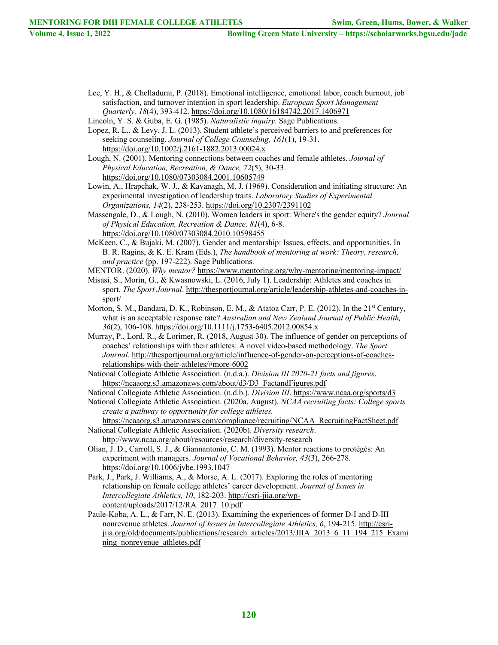- Lee, Y. H., & Chelladurai, P. (2018). Emotional intelligence, emotional labor, coach burnout, job satisfaction, and turnover intention in sport leadership. *European Sport Management Quarterly, 18*(4), 393-412. https://doi.org/10.1080/16184742.2017.1406971
- Lincoln, Y. S. & Guba, E. G. (1985). *Naturalistic inquiry*. Sage Publications.
- Lopez, R. L., & Levy, J. L. (2013). Student athlete's perceived barriers to and preferences for seeking counseling. *Journal of College Counseling, 161*(1), 19-31. https://doi.org/10.1002/j.2161-1882.2013.00024.x
- Lough, N. (2001). Mentoring connections between coaches and female athletes. *Journal of Physical Education, Recreation, & Dance, 72*(5), 30-33. https://doi.org/10.1080/07303084.2001.10605749
- Lowin, A., Hrapchak, W. J., & Kavanagh, M. J. (1969). Consideration and initiating structure: An experimental investigation of leadership traits. *Laboratory Studies of Experimental Organizations, 14*(2), 238-253. https://doi.org/10.2307/2391102
- Massengale, D., & Lough, N. (2010). Women leaders in sport: Where's the gender equity? *Journal of Physical Education, Recreation & Dance, 81*(4), 6-8. https://doi.org/10.1080/07303084.2010.10598455
- McKeen, C., & Bujaki, M. (2007). Gender and mentorship: Issues, effects, and opportunities. In B. R. Ragins, & K. E. Kram (Eds.), *The handbook of mentoring at work: Theory, research, and practice* (pp. 197-222). Sage Publications.
- MENTOR. (2020). *Why mentor?* https://www.mentoring.org/why-mentoring/mentoring-impact/
- Misasi, S., Morin, G., & Kwasnowski, L. (2016, July 1). Leadership: Athletes and coaches in sport. *The Sport Journal*. http://thesportjournal.org/article/leadership-athletes-and-coaches-insport/
- Morton, S. M., Bandara, D. K., Robinson, E. M., & Atatoa Carr, P. E. (2012). In the 21<sup>st</sup> Century, what is an acceptable response rate? *Australian and New Zealand Journal of Public Health, 36*(2), 106-108. https://doi.org/10.1111/j.1753-6405.2012.00854.x
- Murray, P., Lord, R., & Lorimer, R. (2018, August 30). The influence of gender on perceptions of coaches' relationships with their athletes: A novel video-based methodology. *The Sport Journal*. http://thesportjournal.org/article/influence-of-gender-on-perceptions-of-coachesrelationships-with-their-athletes/#more-6002
- National Collegiate Athletic Association. (n.d.a.). *Division III 2020-21 facts and figures*. https://ncaaorg.s3.amazonaws.com/about/d3/D3\_FactandFigures.pdf
- National Collegiate Athletic Association. (n.d.b.). *Division III*. https://www.ncaa.org/sports/d3
- National Collegiate Athletic Association. (2020a, August). *NCAA recruiting facts: College sports create a pathway to opportunity for college athletes.*

https://ncaaorg.s3.amazonaws.com/compliance/recruiting/NCAA\_RecruitingFactSheet.pdf National Collegiate Athletic Association. (2020b). *Diversity research*.

- http://www.ncaa.org/about/resources/research/diversity-research
- Olian, J. D., Carroll, S. J., & Giannantonio, C. M. (1993). Mentor reactions to protégés: An experiment with managers. *Journal of Vocational Behavior, 43*(3), 266-278. https://doi.org/10.1006/jvbe.1993.1047
- Park, J., Park, J. Williams, A., & Morse, A. L. (2017). Exploring the roles of mentoring relationship on female college athletes' career development. *Journal of Issues in Intercollegiate Athletics, 10*, 182-203. http://csri-jiia.org/wpcontent/uploads/2017/12/RA\_2017\_10.pdf
- Paule-Koba, A. L., & Farr, N. E. (2013). Examining the experiences of former D-I and D-III nonrevenue athletes. *Journal of Issues in Intercollegiate Athletics, 6*, 194-215. http://csrijiia.org/old/documents/publications/research\_articles/2013/JIIA\_2013\_6\_11\_194\_215\_Exami ning\_nonrevenue\_athletes.pdf